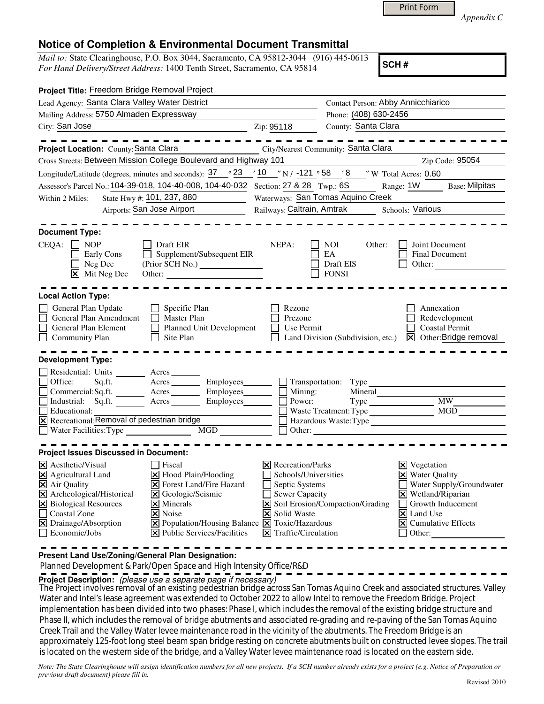|  | Print Form |
|--|------------|
|  |            |

*Appendix C* 

## **Notice of Completion & Environmental Document Transmittal**

*Mail to:* State Clearinghouse, P.O. Box 3044, Sacramento, CA 95812-3044 (916) 445-0613 *For Hand Delivery/Street Address:* 1400 Tenth Street, Sacramento, CA 95814

**SCH #**

| Project Title: Freedom Bridge Removal Project                                                                                                                                                                                                                                                                                                                                                                                                                                             |                                                                                                                                                                           |                                                                                                                             |                                                                                                                                              |  |
|-------------------------------------------------------------------------------------------------------------------------------------------------------------------------------------------------------------------------------------------------------------------------------------------------------------------------------------------------------------------------------------------------------------------------------------------------------------------------------------------|---------------------------------------------------------------------------------------------------------------------------------------------------------------------------|-----------------------------------------------------------------------------------------------------------------------------|----------------------------------------------------------------------------------------------------------------------------------------------|--|
| Lead Agency: Santa Clara Valley Water District                                                                                                                                                                                                                                                                                                                                                                                                                                            |                                                                                                                                                                           | Contact Person: Abby Annicchiarico                                                                                          |                                                                                                                                              |  |
| Mailing Address: 5750 Almaden Expressway                                                                                                                                                                                                                                                                                                                                                                                                                                                  |                                                                                                                                                                           | Phone: (408) 630-2456                                                                                                       |                                                                                                                                              |  |
| City: San Jose                                                                                                                                                                                                                                                                                                                                                                                                                                                                            | Zip: 95118                                                                                                                                                                | County: Santa Clara                                                                                                         |                                                                                                                                              |  |
| Project Location: County: Santa Clara<br>Cross Streets: Between Mission College Boulevard and Highway 101                                                                                                                                                                                                                                                                                                                                                                                 |                                                                                                                                                                           | City/Nearest Community: Santa Clara                                                                                         | Zip Code: 95054                                                                                                                              |  |
| Longitude/Latitude (degrees, minutes and seconds): $37 \degree$ $23 \degree$ $10 \degree$ N / $-121 \degree$ 58 $\degree$ 8 $\degree$ W Total Acres: 0.60                                                                                                                                                                                                                                                                                                                                 |                                                                                                                                                                           |                                                                                                                             |                                                                                                                                              |  |
| Assessor's Parcel No.: 104-39-018, 104-40-008, 104-40-032                                                                                                                                                                                                                                                                                                                                                                                                                                 | Section: 27 & 28 Twp.: 6S                                                                                                                                                 | Range: 1W                                                                                                                   | <b>Base: Milpitas</b>                                                                                                                        |  |
| State Hwy #: 101, 237, 880<br>Within 2 Miles:                                                                                                                                                                                                                                                                                                                                                                                                                                             | Waterways: San Tomas Aquino Creek                                                                                                                                         |                                                                                                                             |                                                                                                                                              |  |
| Airports: San Jose Airport                                                                                                                                                                                                                                                                                                                                                                                                                                                                | Railways: Caltrain, Amtrak<br>Schools: Various                                                                                                                            |                                                                                                                             |                                                                                                                                              |  |
| <b>Document Type:</b><br>CEQA: □ NOP<br>Draft EIR<br>Early Cons<br>Supplement/Subsequent EIR<br>$\perp$<br>Neg Dec<br>X Mit Neg Dec<br>Other:                                                                                                                                                                                                                                                                                                                                             | NEPA:                                                                                                                                                                     | NOI<br>Other:<br>EA<br>Draft EIS<br>Other:<br><b>FONSI</b>                                                                  | Joint Document<br>Final Document                                                                                                             |  |
| <b>Local Action Type:</b><br>Specific Plan<br>General Plan Update<br>General Plan Amendment<br>Master Plan<br>General Plan Element<br>Planned Unit Development<br>Site Plan                                                                                                                                                                                                                                                                                                               | Rezone<br>Prezone<br>Use Permit                                                                                                                                           | Land Division (Subdivision, etc.)                                                                                           | Annexation<br>Redevelopment<br><b>Coastal Permit</b><br>X Other: Bridge removal                                                              |  |
| <b>Community Plan</b><br><b>Development Type:</b>                                                                                                                                                                                                                                                                                                                                                                                                                                         |                                                                                                                                                                           |                                                                                                                             |                                                                                                                                              |  |
| Residential: Units ________ Acres _______<br>Sq.ft. ________ Acres __________ Employees________<br>Office:<br>Commercial:Sq.ft. _________ Acres _______<br>Employees________<br>Industrial: Sq.ft. <u>Acres</u><br>Employees________<br>Educational:<br>$\overline{X}$ Recreational: Removal of pedestrian bridge<br>$\Box$ Water Facilities: Type<br>MGD                                                                                                                                 | Mining:<br>Power:                                                                                                                                                         | $\Box$ Transportation: Type<br>$Mineral$ $\qquad \qquad$<br>Waste Treatment: Type<br>Hazardous Waste: Type<br>$\Box$ Other: | MW<br>MGD                                                                                                                                    |  |
| <b>Project Issues Discussed in Document:</b>                                                                                                                                                                                                                                                                                                                                                                                                                                              |                                                                                                                                                                           |                                                                                                                             |                                                                                                                                              |  |
| $ \mathsf{X} $ Aesthetic/Visual<br>Fiscal<br>$\triangleright$ Flood Plain/Flooding<br>X Agricultural Land<br>X Air Quality<br><b>X</b> Forest Land/Fire Hazard<br>X Archeological/Historical<br>X Geologic/Seismic<br>X Biological Resources<br>$\times$ Minerals<br>□ Coastal Zone<br>X Noise<br>X Drainage/Absorption<br>$\boxed{\mathbf{X}}$ Population/Housing Balance $\boxed{\mathbf{X}}$ Toxic/Hazardous<br>$\Box$ Economic/Jobs<br>$ \mathbf{\times} $ Public Services/Facilities | $ \mathsf{X} $ Recreation/Parks<br>Schools/Universities<br>Septic Systems<br><b>Sewer Capacity</b><br>$\mathbf{I}$<br>X Solid Waste<br>$ \mathsf{X} $ Traffic/Circulation | $\boxtimes$ Vegetation<br>X Soil Erosion/Compaction/Grading<br>$\vert$ X Land Use<br>Other:                                 | <b>X</b> Water Quality<br>Water Supply/Groundwater<br>X Wetland/Riparian<br>Growth Inducement<br>$\vert \mathbf{x} \vert$ Cumulative Effects |  |

**Present Land Use/Zoning/General Plan Designation:**

Planned Development & Park/Open Space and High Intensity Office/R&D

**Project Description:** (please use a separate page if necessary)

 The Project involves removal of an existing pedestrian bridge across San Tomas Aquino Creek and associated structures. Valley Water and Intel's lease agreement was extended to October 2022 to allow Intel to remove the Freedom Bridge. Project implementation has been divided into two phases: Phase I, which includes the removal of the existing bridge structure and Phase II, which includes the removal of bridge abutments and associated re-grading and re-paving of the San Tomas Aquino Creek Trail and the Valley Water levee maintenance road in the vicinity of the abutments. The Freedom Bridge is an approximately 125-foot long steel beam span bridge resting on concrete abutments built on constructed levee slopes. The trail is located on the western side of the bridge, and a Valley Water levee maintenance road is located on the eastern side.

*Note: The State Clearinghouse will assign identification numbers for all new projects. If a SCH number already exists for a project (e.g. Notice of Preparation or previous draft document) please fill in.*